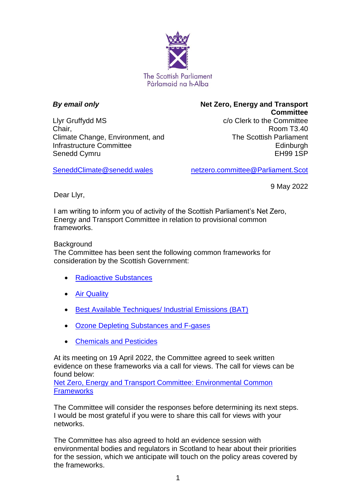

## *By email only*

Llyr Gruffydd MS Chair, Climate Change, Environment, and Infrastructure Committee Senedd Cymru

**Net Zero, Energy and Transport Committee** c/o Clerk to the Committee Room T3.40 The Scottish Parliament Edinburgh EH99 1SP

9 May 2022

[SeneddClimate@senedd.wales](mailto:SeneddClimate@senedd.wales)

netzero.committee@Parliament.Scot

Dear Llyr,

I am writing to inform you of activity of the Scottish Parliament's Net Zero, Energy and Transport Committee in relation to provisional common frameworks.

## **Background**

The Committee has been sent the following common frameworks for consideration by the Scottish Government:

- [Radioactive Substances](https://assets.publishing.service.gov.uk/government/uploads/system/uploads/attachment_data/file/1041265/Radioactive_Substances_570_Common_Framework.pdf)
- [Air Quality](https://assets.publishing.service.gov.uk/government/uploads/system/uploads/attachment_data/file/1052059/air-quality-provisional-common-framework.pdf)
- [Best Available Techniques/ Industrial Emissions \(BAT\)](https://assets.publishing.service.gov.uk/government/uploads/system/uploads/attachment_data/file/1052051/best-available-techniques-provisional-common-framework.pdf)
- [Ozone Depleting Substances and F-gases](https://assets.publishing.service.gov.uk/government/uploads/system/uploads/attachment_data/file/1054493/ozone-depleting-substances-fgases-provisional-common-framework.pdf)
- [Chemicals and Pesticides](https://assets.publishing.service.gov.uk/government/uploads/system/uploads/attachment_data/file/1052055/chemicals-pesticides-provisional-common-framework.pdf)

At its meeting on 19 April 2022, the Committee agreed to seek written evidence on these frameworks via a call for views. The call for views can be found below:

[Net Zero, Energy and Transport Committee: Environmental Common](https://www.parliament.scot/chamber-and-committees/committees/current-and-previous-committees/session-6-net-zero-energy-and-transport-committee/business-items/environmental-common-frameworks)  **[Frameworks](https://www.parliament.scot/chamber-and-committees/committees/current-and-previous-committees/session-6-net-zero-energy-and-transport-committee/business-items/environmental-common-frameworks)** 

The Committee will consider the responses before determining its next steps. I would be most grateful if you were to share this call for views with your networks.

The Committee has also agreed to hold an evidence session with environmental bodies and regulators in Scotland to hear about their priorities for the session, which we anticipate will touch on the policy areas covered by the frameworks.